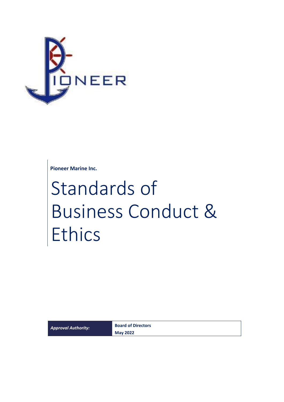

**Pioneer Marine Inc.**

# Standards of Business Conduct & Ethics

*Approval Authority:* **Board of Directors May 2022**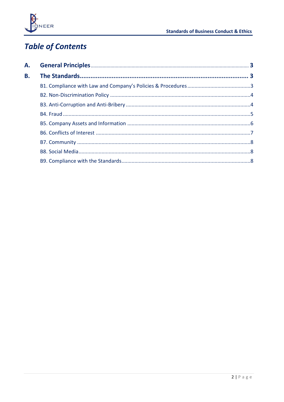

# **Table of Contents**

| А.        |  |
|-----------|--|
| <b>B.</b> |  |
|           |  |
|           |  |
|           |  |
|           |  |
|           |  |
|           |  |
|           |  |
|           |  |
|           |  |
|           |  |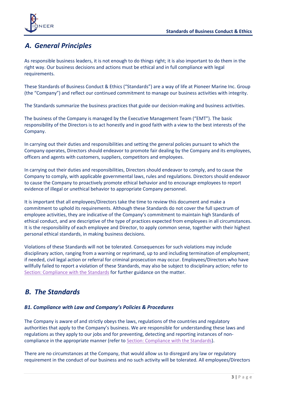

## <span id="page-2-0"></span>*A. General Principles*

As responsible business leaders, it is not enough to do things right; it is also important to do them in the right way. Our business decisions and actions must be ethical and in full compliance with legal requirements.

These Standards of Business Conduct & Ethics ("Standards") are a way of life at Pioneer Marine Inc. Group (the "Company") and reflect our continued commitment to manage our business activities with integrity.

The Standards summarize the business practices that guide our decision-making and business activities.

The business of the Company is managed by the Executive Management Team ("EMT"). The basic responsibility of the Directors is to act honestly and in good faith with a view to the best interests of the Company.

In carrying out their duties and responsibilities and setting the general policies pursuant to which the Company operates, Directors should endeavor to promote fair dealing by the Company and its employees, officers and agents with customers, suppliers, competitors and employees.

In carrying out their duties and responsibilities, Directors should endeavor to comply, and to cause the Company to comply, with applicable governmental laws, rules and regulations. Directors should endeavor to cause the Company to proactively promote ethical behavior and to encourage employees to report evidence of illegal or unethical behavior to appropriate Company personnel.

It is important that all employees/Directors take the time to review this document and make a commitment to uphold its requirements. Although these Standards do not cover the full spectrum of employee activities, they are indicative of the Company's commitment to maintain high Standards of ethical conduct, and are descriptive of the type of practices expected from employees in all circumstances. It is the responsibility of each employee and Director, to apply common sense, together with their highest personal ethical standards, in making business decisions.

Violations of these Standards will not be tolerated. Consequences for such violations may include disciplinary action, ranging from a warning or reprimand, up to and including termination of employment; if needed, civil legal action or referral for criminal prosecution may occur. Employees/Directors who have willfully failed to report a violation of these Standards, may also be subject to disciplinary action; refer to [Section: Compliance with the Standards](#page-7-2) for further guidance on the matter.

### <span id="page-2-1"></span>*B. The Standards*

#### <span id="page-2-2"></span>*B1. Compliance with Law and Company's Policies & Procedures*

The Company is aware of and strictly obeys the laws, regulations of the countries and regulatory authorities that apply to the Company's business. We are responsible for understanding these laws and regulations as they apply to our jobs and for preventing, detecting and reporting instances of noncompliance in the appropriate manner (refer t[o Section: Compliance with the Standards\)](#page-7-2).

There are no circumstances at the Company, that would allow us to disregard any law or regulatory requirement in the conduct of our business and no such activity will be tolerated. All employees/Directors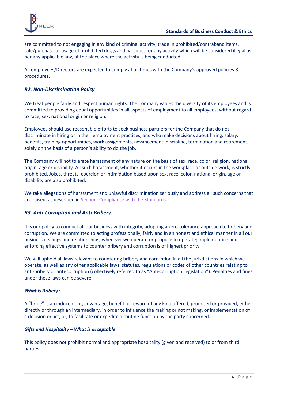

are committed to not engaging in any kind of criminal activity, trade in prohibited/contraband items, sale/purchase or usage of prohibited drugs and narcotics, or any activity which will be considered illegal as per any applicable law, at the place where the activity is being conducted.

All employees/Directors are expected to comply at all times with the Company's approved policies & procedures.

#### <span id="page-3-0"></span>*B2. Non-Discrimination Policy*

We treat people fairly and respect human rights. The Company values the diversity of its employees and is committed to providing equal opportunities in all aspects of employment to all employees, without regard to race, sex, national origin or religion.

Employees should use reasonable efforts to seek business partners for the Company that do not discriminate in hiring or in their employment practices, and who make decisions about hiring, salary, benefits, training opportunities, work assignments, advancement, discipline, termination and retirement, solely on the basis of a person's ability to do the job.

The Company will not tolerate harassment of any nature on the basis of sex, race, color, religion, national origin, age or disability. All such harassment, whether it occurs in the workplace or outside work, is strictly prohibited. Jokes, threats, coercion or intimidation based upon sex, race, color, national origin, age or disability are also prohibited.

We take allegations of harassment and unlawful discrimination seriously and address all such concerns that are raised, as described i[n Section: Compliance with the Standards.](#page-7-2)

#### <span id="page-3-1"></span>*B3. Anti-Corruption and Anti-Bribery*

It is our policy to conduct all our business with integrity, adopting a zero-tolerance approach to bribery and corruption. We are committed to acting professionally, fairly and in an honest and ethical manner in all our business dealings and relationships, wherever we operate or propose to operate; implementing and enforcing effective systems to counter bribery and corruption is of highest priority.

We will uphold all laws relevant to countering bribery and corruption in all the jurisdictions in which we operate, as well as any other applicable laws, statutes, regulations or codes of other countries relating to anti-bribery or anti-corruption (collectively referred to as "Anti-corruption Legislation"). Penalties and fines under these laws can be severe.

#### *What is Bribery?*

A "bribe" is an inducement, advantage, benefit or reward of any kind offered, promised or provided, either directly or through an intermediary, in order to influence the making or not making, or implementation of a decision or act, or, to facilitate or expedite a routine function by the party concerned.

#### *Gifts and Hospitality – What is acceptable*

This policy does not prohibit normal and appropriate hospitality (given and received) to or from third parties.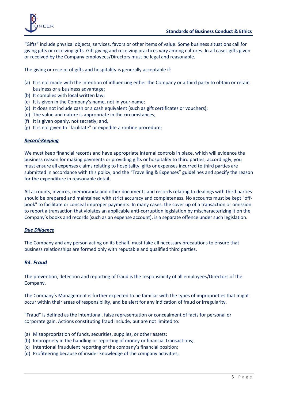

"Gifts" include physical objects, services, favors or other items of value. Some business situations call for giving gifts or receiving gifts. Gift giving and receiving practices vary among cultures. In all cases gifts given or received by the Company employees/Directors must be legal and reasonable.

The giving or receipt of gifts and hospitality is generally acceptable if:

- (a) It is not made with the intention of influencing either the Company or a third party to obtain or retain business or a business advantage;
- (b) It complies with local written law;
- (c) It is given in the Company's name, not in your name;
- (d) It does not include cash or a cash equivalent (such as gift certificates or vouchers);
- (e) The value and nature is appropriate in the circumstances;
- (f) It is given openly, not secretly; and,
- (g) It is not given to "facilitate" or expedite a routine procedure;

#### *Record-Keeping*

We must keep financial records and have appropriate internal controls in place, which will evidence the business reason for making payments or providing gifts or hospitality to third parties; accordingly, you must ensure all expenses claims relating to hospitality, gifts or expenses incurred to third parties are submitted in accordance with this policy, and the "Travelling & Expenses" guidelines and specify the reason for the expenditure in reasonable detail.

All accounts, invoices, memoranda and other documents and records relating to dealings with third parties should be prepared and maintained with strict accuracy and completeness. No accounts must be kept "offbook" to facilitate or conceal improper payments. In many cases, the cover up of a transaction or omission to report a transaction that violates an applicable anti-corruption legislation by mischaracterizing it on the Company's books and records (such as an expense account), is a separate offence under such legislation.

#### *Due Diligence*

The Company and any person acting on its behalf, must take all necessary precautions to ensure that business relationships are formed only with reputable and qualified third parties.

#### <span id="page-4-0"></span>*B4. Fraud*

The prevention, detection and reporting of fraud is the responsibility of all employees/Directors of the Company.

The Company's Management is further expected to be familiar with the types of improprieties that might occur within their areas of responsibility, and be alert for any indication of fraud or irregularity.

"Fraud" is defined as the intentional, false representation or concealment of facts for personal or corporate gain. Actions constituting fraud include, but are not limited to:

- (a) Misappropriation of funds, securities, supplies, or other assets;
- (b) Impropriety in the handling or reporting of money or financial transactions;
- (c) Intentional fraudulent reporting of the company's financial position;
- (d) Profiteering because of insider knowledge of the company activities;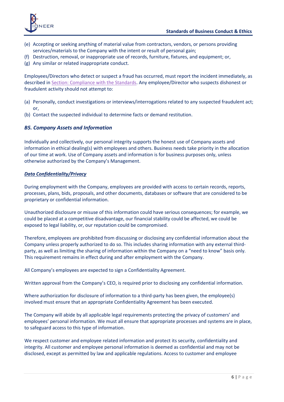

- (e) Accepting or seeking anything of material value from contractors, vendors, or persons providing services/materials to the Company with the intent or result of personal gain;
- (f) Destruction, removal, or inappropriate use of records, furniture, fixtures, and equipment; or,
- (g) Any similar or related inappropriate conduct.

Employees/Directors who detect or suspect a fraud has occurred, must report the incident immediately, as described in [Section: Compliance with the Standards.](#page-7-2) Any employee/Director who suspects dishonest or fraudulent activity should not attempt to:

- (a) Personally, conduct investigations or interviews/interrogations related to any suspected fraudulent act; or,
- (b) Contact the suspected individual to determine facts or demand restitution.

#### <span id="page-5-0"></span>*B5. Company Assets and Information*

Individually and collectively, our personal integrity supports the honest use of Company assets and information in ethical dealing(s) with employees and others. Business needs take priority in the allocation of our time at work. Use of Company assets and information is for business purposes only, unless otherwise authorized by the Company's Management.

#### *Data Confidentiality/Privacy*

During employment with the Company, employees are provided with access to certain records, reports, processes, plans, bids, proposals, and other documents, databases or software that are considered to be proprietary or confidential information.

Unauthorized disclosure or misuse of this information could have serious consequences; for example, we could be placed at a competitive disadvantage, our financial stability could be affected, we could be exposed to legal liability, or, our reputation could be compromised.

Therefore, employees are prohibited from discussing or disclosing any confidential information about the Company unless properly authorized to do so. This includes sharing information with any external thirdparty, as well as limiting the sharing of information within the Company on a "need to know" basis only. This requirement remains in effect during and after employment with the Company.

All Company's employees are expected to sign a Confidentiality Agreement.

Written approval from the Company's CEO, is required prior to disclosing any confidential information.

Where authorization for disclosure of information to a third-party has been given, the employee(s) involved must ensure that an appropriate Confidentiality Agreement has been executed.

The Company will abide by all applicable legal requirements protecting the privacy of customers' and employees' personal information. We must all ensure that appropriate processes and systems are in place, to safeguard access to this type of information.

We respect customer and employee related information and protect its security, confidentiality and integrity. All customer and employee personal information is deemed as confidential and may not be disclosed, except as permitted by law and applicable regulations. Access to customer and employee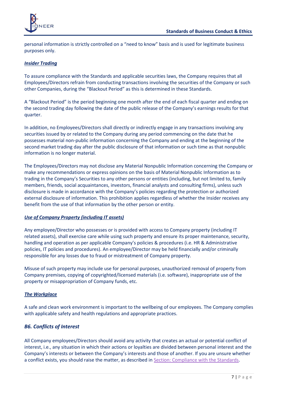

personal information is strictly controlled on a "need to know" basis and is used for legitimate business purposes only.

#### *Insider Trading*

To assure compliance with the Standards and applicable securities laws, the Company requires that all Employees/Directors refrain from conducting transactions involving the securities of the Company or such other Companies, during the "Blackout Period" as this is determined in these Standards.

A "Blackout Period" is the period beginning one month after the end of each fiscal quarter and ending on the second trading day following the date of the public release of the Company's earnings results for that quarter.

In addition, no Employees/Directors shall directly or indirectly engage in any transactions involving any securities issued by or related to the Company during any period commencing on the date that he possesses material non-public information concerning the Company and ending at the beginning of the second market trading day after the public disclosure of that information or such time as that nonpublic information is no longer material.

The Employees/Directors may not disclose any Material Nonpublic Information concerning the Company or make any recommendations or express opinions on the basis of Material Nonpublic Information as to trading in the Company's Securities to any other persons or entities (including, but not limited to, family members, friends, social acquaintances, investors, financial analysts and consulting firms), unless such disclosure is made in accordance with the Company's policies regarding the protection or authorized external disclosure of information. This prohibition applies regardless of whether the Insider receives any benefit from the use of that information by the other person or entity.

#### *Use of Company Property (including IT assets)*

Any employee/Director who possesses or is provided with access to Company property (including IT related assets), shall exercise care while using such property and ensure its proper maintenance, security, handling and operation as per applicable Company's policies & procedures (i.e. HR & Administrative policies, IT policies and procedures). An employee/Director may be held financially and/or criminally responsible for any losses due to fraud or mistreatment of Company property.

Misuse of such property may include use for personal purposes, unauthorized removal of property from Company premises, copying of copyrighted/licensed materials (i.e. software), inappropriate use of the property or misappropriation of Company funds, etc.

#### *The Workplace*

A safe and clean work environment is important to the wellbeing of our employees. The Company complies with applicable safety and health regulations and appropriate practices.

#### <span id="page-6-0"></span>*B6. Conflicts of Interest*

All Company employees/Directors should avoid any activity that creates an actual or potential conflict of interest, i.e., any situation in which their actions or loyalties are divided between personal interest and the Company's interests or between the Company's interests and those of another. If you are unsure whether a conflict exists, you should raise the matter, as described in Section: [Compliance with the Standards.](#page-7-2)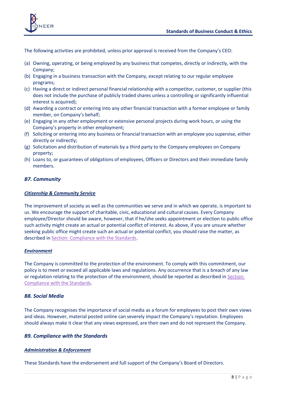

The following activities are prohibited, unless prior approval is received from the Company's CEO:

- (a) Owning, operating, or being employed by any business that competes, directly or indirectly, with the Company;
- (b) Engaging in a business transaction with the Company, except relating to our regular employee programs;
- (c) Having a direct or indirect personal financial relationship with a competitor, customer, or supplier (this does not include the purchase of publicly traded shares unless a controlling or significantly influential interest is acquired);
- (d) Awarding a contract or entering into any other financial transaction with a former employee or family member, on Company's behalf;
- (e) Engaging in any other employment or extensive personal projects during work hours, or using the Company's property in other employment;
- (f) Soliciting or entering into any business or financial transaction with an employee you supervise, either directly or indirectly;
- (g) Solicitation and distribution of materials by a third party to the Company employees on Company property;
- (h) Loans to, or guarantees of obligations of employees, Officers or Directors and their immediate family members.

#### <span id="page-7-0"></span>*B7. Community*

#### *Citizenship & Community Service*

The improvement of society as well as the communities we serve and in which we operate, is important to us. We encourage the support of charitable, civic, educational and cultural causes. Every Company employee/Director should be aware, however, that if he/she seeks appointment or election to public office such activity might create an actual or potential conflict of interest. As above, if you are unsure whether seeking public office might create such an actual or potential conflict, you should raise the matter, as described in [Section: Compliance with the Standards.](#page-7-2)

#### *Environment*

The Company is committed to the protection of the environment. To comply with this commitment, our policy is to meet or exceed all applicable laws and regulations. Any occurrence that is a breach of any law or regulation relating to the protection of the environment, should be reported as described i[n Section:](#page-7-2)  [Compliance with the Standards.](#page-7-2)

#### <span id="page-7-1"></span>*B8. Social Media*

The Company recognises the importance of social media as a forum for employees to post their own views and ideas. However, material posted online can severely impact the Company's reputation. Employees should always make it clear that any views expressed, are their own and do not represent the Company.

#### <span id="page-7-2"></span>*B9. Compliance with the Standards*

#### *Administration & Enforcement*

These Standards have the endorsement and full support of the Company's Board of Directors.